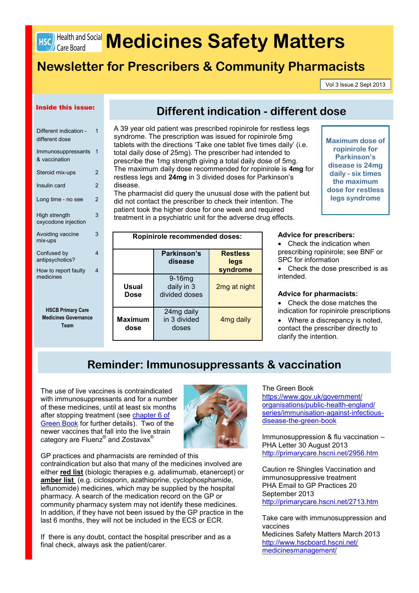

# **HSC) Health and Social Medicines Safety Matters**

# **Newsletter for Prescribers & Community Pharmacists**

Vol 3 Issue 2 Sept 2013

## Inside this issue:

| Different indication -<br>different dose   | 1             |
|--------------------------------------------|---------------|
| Immunosuppressants<br>& vaccination        | 1             |
| Steroid mix-ups                            | 2             |
| Insulin card                               | $\mathcal{P}$ |
| Long time - no see                         | 2             |
| High strength<br>oxycodone injection       | 3             |
| Avoiding vaccine<br>mix-ups                | 3             |
| Confused by<br>antipsychotics?             | 4             |
| How to report faulty<br>medicines          | 4             |
|                                            |               |
| <b>HSCB Primary Care</b>                   |               |
| <b>Medicines Governance</b><br><b>Team</b> |               |
|                                            |               |

# **Different indication - different dose**

A 39 year old patient was prescribed ropinirole for restless legs syndrome. The prescription was issued for ropinirole 5mg tablets with the directions 'Take one tablet five times daily' (i.e. total daily dose of 25mg). The prescriber had intended to prescribe the 1mg strength giving a total daily dose of 5mg. The maximum daily dose recommended for ropinirole is **4mg** for restless legs and **24mg** in 3 divided doses for Parkinson's disease.

The pharmacist did query the unusual dose with the patient but did not contact the prescriber to check their intention. The patient took the higher dose for one week and required treatment in a psychiatric unit for the adverse drug effects.

**Maximum dose of ropinirole for Parkinson's disease is 24mg daily - six times the maximum dose for restless legs syndrome**

| <b>Ropinirole recommended doses:</b> |                                         |                                     |  |
|--------------------------------------|-----------------------------------------|-------------------------------------|--|
|                                      | Parkinson's<br>disease                  | <b>Restless</b><br>legs<br>syndrome |  |
| Usual<br><b>Dose</b>                 | $9-16mg$<br>daily in 3<br>divided doses | 2mg at night                        |  |
| Maximum<br>dose                      | 24mg daily<br>in 3 divided<br>doses     | 4 <sub>mg</sub> daily               |  |

#### **Advice for prescribers:**

• Check the indication when prescribing ropinirole; see BNF or SPC for information

• Check the dose prescribed is as intended.

## **Advice for pharmacists:**

 Check the dose matches the indication for ropinirole prescriptions

• Where a discrepancy is noted, contact the prescriber directly to clarify the intention.

# **Reminder: Immunosuppressants & vaccination**

The use of live vaccines is contraindicated with immunosuppressants and for a number of these medicines, until at least six months after stopping treatment (see chapter 6 of [Green Book](https://www.gov.uk/government/publications/contraindications-and-special-considerations-the-green-book-chapter-6) for further details). Two of the newer vaccines that fall into the live strain category are Fluenz® and Zostavax®



GP practices and pharmacists are reminded of this contraindication but also that many of the medicines involved are either **red list** (biologic therapies e.g. adalimumab, etanercept) or **amber list** (e.g. ciclosporin, azathioprine, cyclophosphamide, leflunomide) medicines, which may be supplied by the hospital pharmacy. A search of the medication record on the GP or community pharmacy system may not identify these medicines. In addition, if they have not been issued by the GP practice in the last 6 months, they will not be included in the ECS or ECR.

If there is any doubt, contact the hospital prescriber and as a final check, always ask the patient/carer.

### The Green Book

[https://www.gov.uk/government/](https://www.gov.uk/government/organisations/public-health-england/series/immunisation-against-infectious-disease-the-green-book) [organisations/public](https://www.gov.uk/government/organisations/public-health-england/series/immunisation-against-infectious-disease-the-green-book)-health-england/ [series/immunisation](https://www.gov.uk/government/organisations/public-health-england/series/immunisation-against-infectious-disease-the-green-book)-against-infectious[disease](https://www.gov.uk/government/organisations/public-health-england/series/immunisation-against-infectious-disease-the-green-book)-the-green-book

Immunosuppression & flu vaccination – PHA Letter 30 August 2013 <http://primarycare.hscni.net/2956.htm>

Caution re Shingles Vaccination and immunosuppressive treatment PHA Email to GP Practices 20 September 2013 [h](http://primarycare.hscni.net/2713.htm)ttp://primarycare.hscni.net/2713.htm

Take care with immunosuppression and vaccines Medicines Safety Matters March 2013

[http://www.hscboard.hscni.net/](http://www.hscboard.hscni.net/medicinesmanagement/) [medicinesmanagement/](http://www.hscboard.hscni.net/medicinesmanagement/)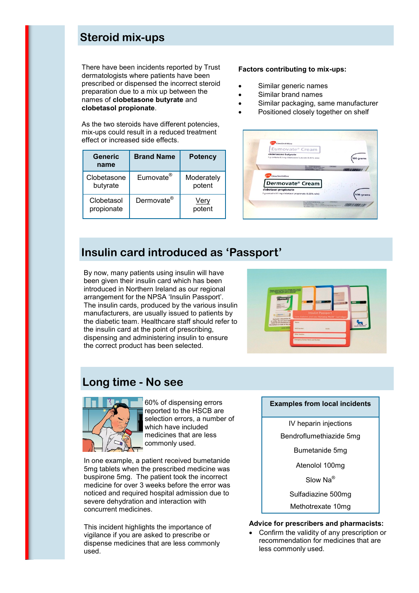# **Steroid mix-ups**

There have been incidents reported by Trust dermatologists where patients have been prescribed or dispensed the incorrect steroid preparation due to a mix up between the names of **clobetasone butyrate** and **clobetasol propionate**.

As the two steroids have different potencies, mix-ups could result in a reduced treatment effect or increased side effects.

| Generic<br>name          | <b>Brand Name</b>      | <b>Potency</b>       |
|--------------------------|------------------------|----------------------|
| Clobetasone<br>butyrate  | Eumovate <sup>®</sup>  | Moderately<br>potent |
| Clobetasol<br>propionate | Dermovate <sup>®</sup> | Very<br>potent       |

## **Factors contributing to mix-ups:**

- Similar generic names
- Similar brand names
- Similar packaging, same manufacturer
- Positioned closely together on shelf



# **Insulin card introduced as 'Passport'**

By now, many patients using insulin will have been given their insulin card which has been introduced in Northern Ireland as our regional arrangement for the NPSA 'Insulin Passport'. The insulin cards, produced by the various insulin manufacturers, are usually issued to patients by the diabetic team. Healthcare staff should refer to the insulin card at the point of prescribing, dispensing and administering insulin to ensure the correct product has been selected.



# **Long time - No see**



60% of dispensing errors reported to the HSCB are selection errors, a number of which have included medicines that are less commonly used.

In one example, a patient received bumetanide 5mg tablets when the prescribed medicine was buspirone 5mg. The patient took the incorrect medicine for over 3 weeks before the error was noticed and required hospital admission due to severe dehydration and interaction with concurrent medicines.

This incident highlights the importance of vigilance if you are asked to prescribe or dispense medicines that are less commonly used.

## **Examples from local incidents**

IV heparin injections

Bendroflumethiazide 5mg

Bumetanide 5mg

Atenolol 100mg

Slow Na®

Sulfadiazine 500mg

Methotrexate 10mg

## **Advice for prescribers and pharmacists:**

 Confirm the validity of any prescription or recommendation for medicines that are less commonly used.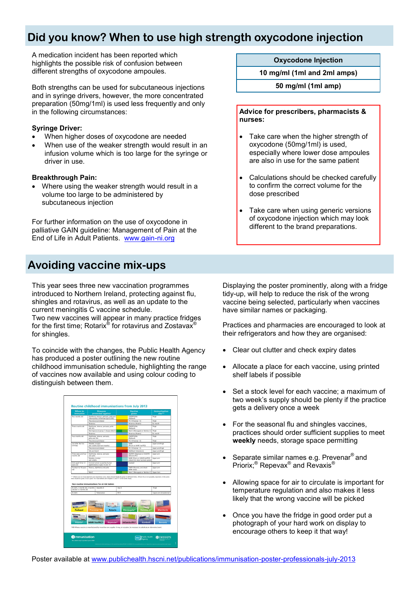# **Did you know? When to use high strength oxycodone injection**

A medication incident has been reported which highlights the possible risk of confusion between different strengths of oxycodone ampoules.

Both strengths can be used for subcutaneous injections and in syringe drivers, however, the more concentrated preparation (50mg/1ml) is used less frequently and only in the following circumstances:

## **Syringe Driver:**

- When higher doses of oxycodone are needed
- When use of the weaker strength would result in an infusion volume which is too large for the syringe or driver in use.

## **Breakthrough Pain:**

 Where using the weaker strength would result in a volume too large to be administered by subcutaneous injection

For further information on the use of oxycodone in palliative GAIN guideline: Management of Pain at the End of Life in Adult Patients. [www.gain](http://www.gain-ni.org)-ni.org

# **Avoiding vaccine mix-ups**

This year sees three new vaccination programmes introduced to Northern Ireland, protecting against flu, shingles and rotavirus, as well as an update to the current meningitis C vaccine schedule.

Two new vaccines will appear in many practice fridges for the first time; Rotarix® for rotavirus and Zostavax® for shingles.

To coincide with the changes, the [Public Health Agency](http://www.publichealth.hscni.net/publications/immunisation-poster-professionals-july-2013)  [has produced a poster](http://www.publichealth.hscni.net/publications/immunisation-poster-professionals-july-2013) outlining the new routine childhood immunisation schedule, highlighting the range of vaccines now available and using colour coding to distinguish between them.

| immunise                           |                               | <b>Diseases</b><br>protected against                                                        |            | Vaccine<br>aiven                                                 | <b>Immunisation</b><br>site** |
|------------------------------------|-------------------------------|---------------------------------------------------------------------------------------------|------------|------------------------------------------------------------------|-------------------------------|
| Two months old                     |                               | Diphtheria, tetanus, pertussis, polio and<br>Haemcohilus influenzae type b (Hib)            |            | <b>DTARSPV/Hb</b><br>(Pediacel)                                  | Thigh                         |
|                                    |                               | Presimococcal disease                                                                       |            | PCV (Prevenar 13)                                                | Thigh                         |
|                                    | Robevinus                     |                                                                                             |            | Rotavinus (Rotaria)                                              | By mouth                      |
| Three months old                   | and Hib                       | Diphtheria, tetanus, pertussis, polio                                                       |            | <b>DTaRfFV/Hb</b><br>(Pediacel)                                  | Thigh                         |
|                                    |                               | Meninggococcal group C disease (MenC)                                                       |            | MenC (Meniugate or NeisVac-C) Thigh                              |                               |
|                                    | Rotavinus                     |                                                                                             |            | Rotavirus (Rotarix)                                              | By mouth                      |
| Four months old                    | polio and Hib                 | Diphtheria, tetanus, pertussis,                                                             |            | <b>DTaP/FPV/Hib</b><br>(Pediacel)                                | Thigh                         |
|                                    |                               | Pneumococcal disease                                                                        |            | PCV (Prevenar 13)                                                | Thigh                         |
| Just after the first<br>birthday   | Meades mumos                  | and rubella (German measles)                                                                |            | MMR<br>(Priorix or MMR VaxPRO)                                   | Upper ann/thigh               |
|                                    |                               | Pneumococcal disease                                                                        |            | PCV (Prevenar 13)                                                | Upper ann/thigh               |
|                                    | Hib and MenC                  |                                                                                             |            | Hib/MenC (Menitorix)                                             | Upper ann/thigh               |
| Three years and four<br>months old | and polic                     | Diphtheria, tetanus, pertussis                                                              |            | dTaP/IPV (Repevax) or DTaP/IPV<br>(Infancia-IPV)                 | Upper ann                     |
|                                    | Measles, mumos<br>and nihelia |                                                                                             |            | MMR (Princip or MMR VayPRO)<br>(check first dose has been given) | Upper arm                     |
| Girls aged 12 to 13<br>years old   |                               | Cervical cancer caused by human<br>papillomavirus types 16 and 18                           |            | Gardaul                                                          | Upper arm                     |
| Fourteen to 18 years<br>old        |                               | Tetanus, diphtheria and polio                                                               |            | Td/IPV (Revavis), and check<br>MMR status                        | Upper ann                     |
|                                    | MeriC                         |                                                                                             |            | MenC (Meniugate or NeisVac-C)   Upper Ann                        |                               |
|                                    |                               | limb should be given 2.5cm apart. For more details see Chapters 4 and 11 in the Green Book. |            |                                                                  |                               |
| At birth, 1 month old, 2 months    |                               | Non-routine immunisations for at-risk babies<br>Hepatitis B                                 | Hep 8      |                                                                  | Thigh                         |
| old and 12 months old<br>Az birth  |                               | Tuberculosis                                                                                | <b>BCG</b> |                                                                  | Upper arm lintradermall       |
| <b>Pediacel</b><br>Priorix*        | Prevenar                      | <b>Bottella</b><br>٠<br><b>Rotarix</b><br><b>MMR VaxPRO*</b><br>Repevax*                    |            | Meniugate*<br>Infanrix-IPV*<br>Gardasil                          | <b>Menitorix</b><br>Revaxis   |

## **Oxycodone Injection**

**10 mg/ml (1ml and 2ml amps)** 

**50 mg/ml (1ml amp)**

**Advice for prescribers, pharmacists & nurses:**

- Take care when the higher strength of oxycodone (50mg/1ml) is used, especially where lower dose ampoules are also in use for the same patient
- Calculations should be checked carefully to confirm the correct volume for the dose prescribed
- Take care when using generic versions of oxycodone injection which may look different to the brand preparations.

Displaying the poster prominently, along with a fridge tidy-up, will help to reduce the risk of the wrong vaccine being selected, particularly when vaccines have similar names or packaging.

Practices and pharmacies are encouraged to look at their refrigerators and how they are organised:

- Clear out clutter and check expiry dates
- Allocate a place for each vaccine, using printed shelf labels if possible
- Set a stock level for each vaccine; a maximum of two week's supply should be plenty if the practice gets a delivery once a week
- For the seasonal flu and shingles vaccines, practices should order sufficient supplies to meet **weekly** needs, storage space permitting
- Separate similar names e.g. Prevenar® and Priorix;<sup>®</sup> Repevax® and Revaxis<sup>®</sup>
- Allowing space for air to circulate is important for temperature regulation and also makes it less likely that the wrong vaccine will be picked
- Once you have the fridge in good order put a photograph of your hard work on display to encourage others to keep it that way!